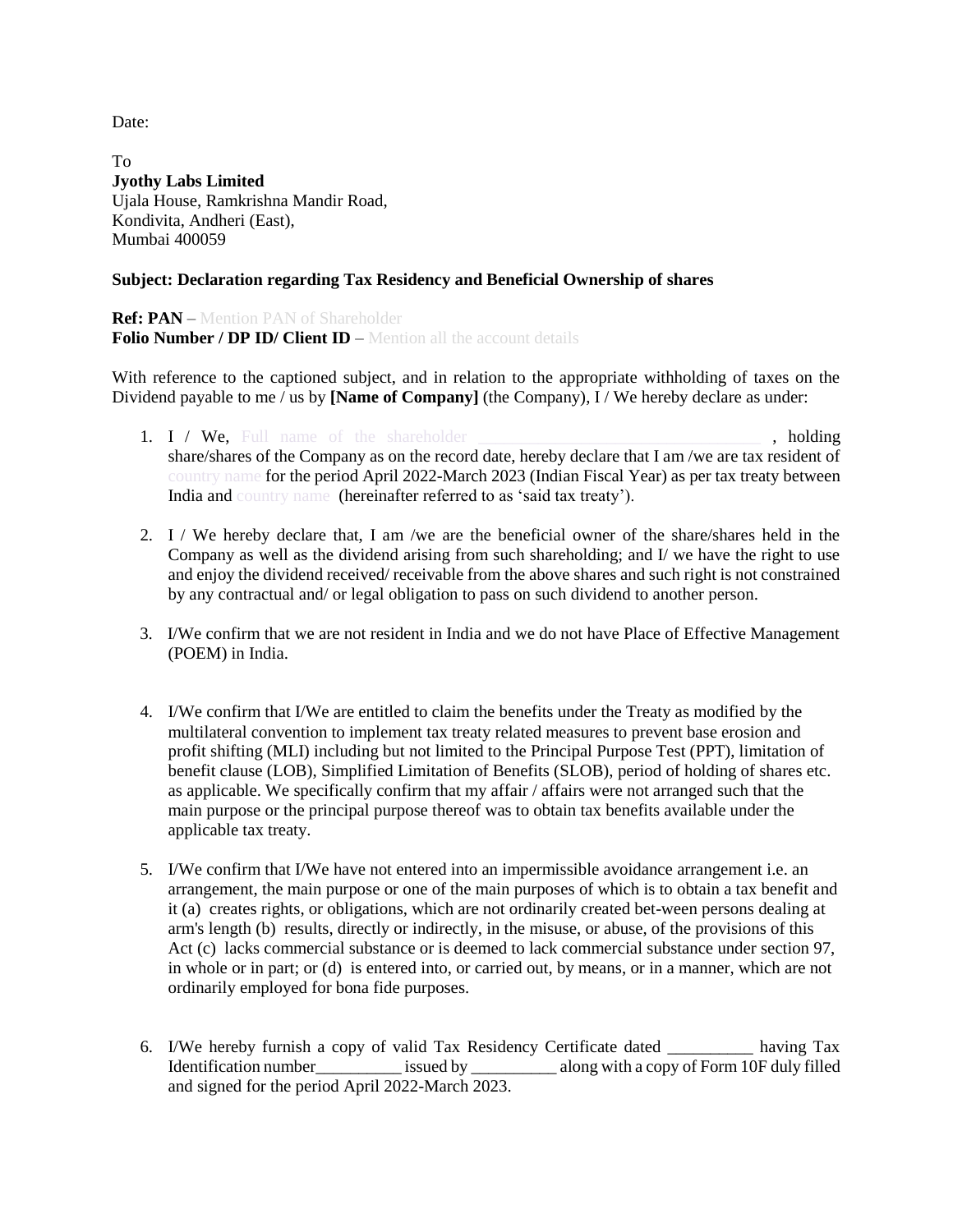Date:

To **Jyothy Labs Limited** Ujala House, Ramkrishna Mandir Road, Kondivita, Andheri (East), Mumbai 400059

## **Subject: Declaration regarding Tax Residency and Beneficial Ownership of shares**

**Ref: PAN** – Mention PAN of Shareholder **Folio Number / DP ID/ Client ID** – Mention all the account details

With reference to the captioned subject, and in relation to the appropriate withholding of taxes on the Dividend payable to me / us by **[Name of Company]** (the Company), I / We hereby declare as under:

- 1. I / We, Full name of the shareholder **the state of the state of the state**, holding share/shares of the Company as on the record date, hereby declare that I am /we are tax resident of country name for the period April 2022-March 2023 (Indian Fiscal Year) as per tax treaty between India and country name (hereinafter referred to as 'said tax treaty').
- 2. I / We hereby declare that, I am /we are the beneficial owner of the share/shares held in the Company as well as the dividend arising from such shareholding; and I/ we have the right to use and enjoy the dividend received/ receivable from the above shares and such right is not constrained by any contractual and/ or legal obligation to pass on such dividend to another person.
- 3. I/We confirm that we are not resident in India and we do not have Place of Effective Management (POEM) in India.
- 4. I/We confirm that I/We are entitled to claim the benefits under the Treaty as modified by the multilateral convention to implement tax treaty related measures to prevent base erosion and profit shifting (MLI) including but not limited to the Principal Purpose Test (PPT), limitation of benefit clause (LOB), Simplified Limitation of Benefits (SLOB), period of holding of shares etc. as applicable. We specifically confirm that my affair / affairs were not arranged such that the main purpose or the principal purpose thereof was to obtain tax benefits available under the applicable tax treaty.
- 5. I/We confirm that I/We have not entered into an impermissible avoidance arrangement i.e. an arrangement, the main purpose or one of the main purposes of which is to obtain a tax benefit and it (a) creates rights, or obligations, which are not ordinarily created bet-ween persons dealing at arm's length (b) results, directly or indirectly, in the misuse, or abuse, of the provisions of this Act (c) lacks commercial substance or is deemed to lack commercial substance under section 97, in whole or in part; or (d) is entered into, or carried out, by means, or in a manner, which are not ordinarily employed for bona fide purposes.
- 6. I/We hereby furnish a copy of valid Tax Residency Certificate dated \_\_\_\_\_\_\_\_\_\_ having Tax Identification number issued by along with a copy of Form 10F duly filled and signed for the period April 2022-March 2023.